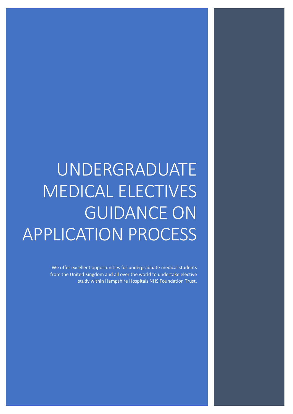# UNDERGRADUATE MEDICAL ELECTIVES GUIDANCE ON APPLICATION PROCESS

We offer excellent opportunities for undergraduate medical students from the United Kingdom and all over the world to undertake elective study within Hampshire Hospitals NHS Foundation Trust.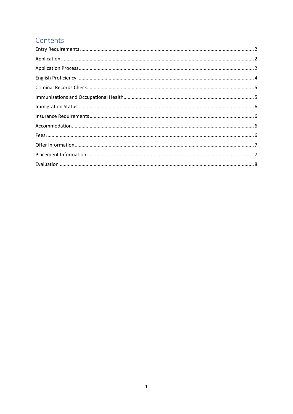# Contents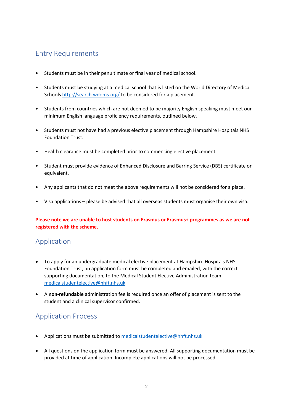# <span id="page-2-0"></span>Entry Requirements

- Students must be in their penultimate or final year of medical school.
- Students must be studying at a medical school that is listed on the World Directory of Medical School[s http://search.wdoms.org/](http://search.wdoms.org/) to be considered for a placement.
- Students from countries which are not deemed to be majority English speaking must meet our minimum English language proficiency requirements, outlined below.
- Students must not have had a previous elective placement through Hampshire Hospitals NHS Foundation Trust.
- Health clearance must be completed prior to commencing elective placement.
- Student must provide evidence of Enhanced Disclosure and Barring Service (DBS) certificate or equivalent.
- Any applicants that do not meet the above requirements will not be considered for a place.
- Visa applications please be advised that all overseas students must organise their own visa.

Please note we are unable to host students on Erasmus or Erasmus+ programmes as we are not **registered with the scheme.**

## <span id="page-2-1"></span>Application

- To apply for an undergraduate medical elective placement at Hampshire Hospitals NHS Foundation Trust, an application form must be completed and emailed, with the correct supporting documentation, to the Medical Student Elective Administration team: [medicalstudentelective@hhft.nhs.uk](mailto:medicalstudentelective@hhft.nhs.uk)
- A **non-refundable** administration fee is required once an offer of placement is sent to the student and a clinical supervisor confirmed.

# <span id="page-2-2"></span>Application Process

- Applications must be submitted t[o medicalstudentelective@hhft.nhs.uk](mailto:medicalstudentelective@hhft.nhs.uk)
- All questions on the application form must be answered. All supporting documentation must be provided at time of application. Incomplete applications will not be processed.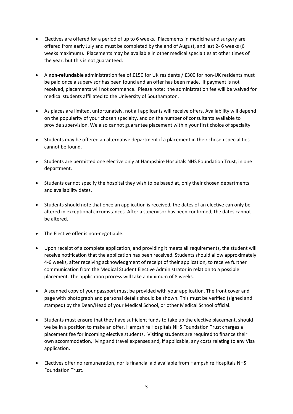- Electives are offered for a period of up to 6 weeks. Placements in medicine and surgery are offered from early July and must be completed by the end of August, and last 2- 6 weeks (6 weeks maximum). Placements may be available in other medical specialties at other times of the year, but this is not guaranteed.
- A **non-refundable** administration fee of £150 for UK residents / £300 for non-UK residents must be paid once a supervisor has been found and an offer has been made. If payment is not received, placements will not commence. Please note: the administration fee will be waived for medical students affiliated to the University of Southampton.
- As places are limited, unfortunately, not all applicants will receive offers. Availability will depend on the popularity of your chosen specialty, and on the number of consultants available to provide supervision. We also cannot guarantee placement within your first choice of specialty.
- Students may be offered an alternative department if a placement in their chosen specialities cannot be found.
- Students are permitted one elective only at Hampshire Hospitals NHS Foundation Trust, in one department.
- Students cannot specify the hospital they wish to be based at, only their chosen departments and availability dates.
- Students should note that once an application is received, the dates of an elective can only be altered in exceptional circumstances. After a supervisor has been confirmed, the dates cannot be altered.
- The Elective offer is non-negotiable.
- Upon receipt of a complete application, and providing it meets all requirements, the student will receive notification that the application has been received. Students should allow approximately 4-6 weeks, after receiving acknowledgment of receipt of their application, to receive further communication from the Medical Student Elective Administrator in relation to a possible placement. The application process will take a minimum of 8 weeks.
- A scanned copy of your passport must be provided with your application. The front cover and page with photograph and personal details should be shown. This must be verified (signed and stamped) by the Dean/Head of your Medical School, or other Medical School official.
- Students must ensure that they have sufficient funds to take up the elective placement, should we be in a position to make an offer. Hampshire Hospitals NHS Foundation Trust charges a placement fee for incoming elective students. Visiting students are required to finance their own accommodation, living and travel expenses and, if applicable, any costs relating to any Visa application.
- Electives offer no remuneration, nor is financial aid available from Hampshire Hospitals NHS Foundation Trust.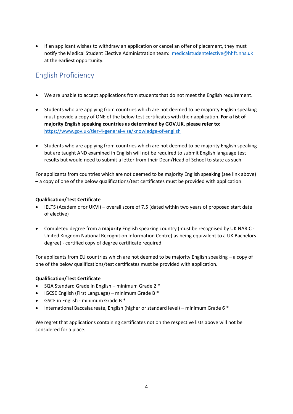• If an applicant wishes to withdraw an application or cancel an offer of placement, they must notify the Medical Student Elective Administration team: [medicalstudentelective@hhft.nhs.uk](mailto:medicalstudentelective@hhft.nhs.uk)  at the earliest opportunity.

# <span id="page-4-0"></span>English Proficiency

- We are unable to accept applications from students that do not meet the English requirement.
- Students who are applying from countries which are not deemed to be majority English speaking must provide a copy of ONE of the below test certificates with their application. **For a list of majority English speaking countries as determined by GOV.UK, please refer to:** <https://www.gov.uk/tier-4-general-visa/knowledge-of-english>
- Students who are applying from countries which are not deemed to be majority English speaking but are taught AND examined in English will not be required to submit English language test results but would need to submit a letter from their Dean/Head of School to state as such.

For applicants from countries which are not deemed to be majority English speaking (see link above) – a copy of one of the below qualifications/test certificates must be provided with application.

#### **Qualification/Test Certificate**

- IELTS (Academic for UKVI) overall score of 7.5 (dated within two years of proposed start date of elective)
- Completed degree from a **majority** English speaking country (must be recognised by UK NARIC United Kingdom National Recognition Information Centre) as being equivalent to a UK Bachelors degree) - certified copy of degree certificate required

For applicants from EU countries which are not deemed to be majority English speaking – a copy of one of the below qualifications/test certificates must be provided with application.

#### **Qualification/Test Certificate**

- SQA Standard Grade in English minimum Grade 2 \*
- IGCSE English (First Language) minimum Grade B \*
- GSCE in English minimum Grade B \*
- International Baccalaureate, English (higher or standard level) minimum Grade 6 \*

We regret that applications containing certificates not on the respective lists above will not be considered for a place.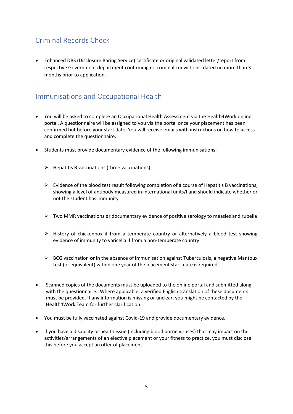# <span id="page-5-0"></span>Criminal Records Check

• Enhanced DBS (Disclosure Baring Service) certificate or original validated letter/report from respective Government department confirming no criminal convictions, dated no more than 3 months prior to application.

## <span id="page-5-1"></span>Immunisations and Occupational Health

- You will be asked to complete an Occupational Health Assessment via the Health4Work online portal. A questionnaire will be assigned to you via the portal once your placement has been confirmed but before your start date. You will receive emails with instructions on how to access and complete the questionnaire.
- Students must provide documentary evidence of the following immunisations:
	- $\triangleright$  Hepatitis B vaccinations (three vaccinations)
	- $\triangleright$  Evidence of the blood test result following completion of a course of Hepatitis B vaccinations, showing a level of antibody measured in international units/l and should indicate whether or not the student has immunity
	- ➢ Two MMR vaccinations **or** documentary evidence of positive serology to measles and rubella
	- ➢ History of chickenpox if from a temperate country or alternatively a blood test showing evidence of immunity to varicella if from a non-temperate country
	- ➢ BCG vaccination **or** in the absence of immunisation against Tuberculosis, a negative Mantoux test (or equivalent) within one year of the placement start-date is required
- Scanned copies of the documents must be uploaded to the online portal and submitted along with the questionnaire. Where applicable, a verified English translation of these documents must be provided. If any information is missing or unclear, you might be contacted by the Health4Work Team for further clarification
- You must be fully vaccinated against Covid-19 and provide documentary evidence.
- If you have a disability or health issue (including blood borne viruses) that may impact on the activities/arrangements of an elective placement or your fitness to practice, you must disclose this before you accept an offer of placement.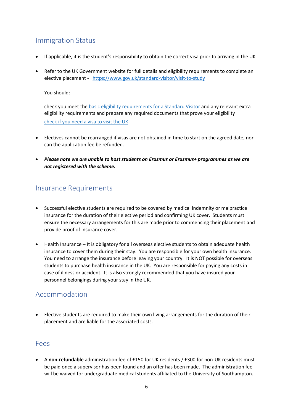# <span id="page-6-0"></span>Immigration Status

- If applicable, it is the student's responsibility to obtain the correct visa prior to arriving in the UK
- Refer to the UK Government website for full details and eligibility requirements to complete an elective placement -<https://www.gov.uk/standard-visitor/visit-to-study>

You should:

check you meet the [basic eligibility requirements for a Standard Visitor](https://www.gov.uk/standard-visitor/overview) and any relevant extra eligibility requirements and prepare any required documents that prove your eligibility [check if you need a visa to visit the UK](https://www.gov.uk/check-uk-visa)

- Electives cannot be rearranged if visas are not obtained in time to start on the agreed date, nor can the application fee be refunded.
- *Please note we are unable to host students on Erasmus or Erasmus+ programmes as we are not registered with the scheme.*

### <span id="page-6-1"></span>Insurance Requirements

- Successful elective students are required to be covered by medical indemnity or malpractice insurance for the duration of their elective period and confirming UK cover. Students must ensure the necessary arrangements for this are made prior to commencing their placement and provide proof of insurance cover.
- Health Insurance It is obligatory for all overseas elective students to obtain adequate health insurance to cover them during their stay. You are responsible for your own health insurance. You need to arrange the insurance before leaving your country. It is NOT possible for overseas students to purchase health insurance in the UK. You are responsible for paying any costs in case of illness or accident. It is also strongly recommended that you have insured your personnel belongings during your stay in the UK.

### <span id="page-6-2"></span>Accommodation

• Elective students are required to make their own living arrangements for the duration of their placement and are liable for the associated costs.

### <span id="page-6-3"></span>Fees

• A **non-refundable** administration fee of £150 for UK residents / £300 for non-UK residents must be paid once a supervisor has been found and an offer has been made. The administration fee will be waived for undergraduate medical students affiliated to the University of Southampton.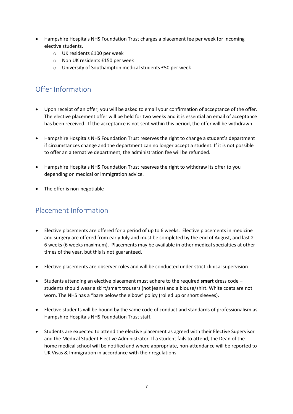- Hampshire Hospitals NHS Foundation Trust charges a placement fee per week for incoming elective students.
	- o UK residents £100 per week
	- o Non UK residents £150 per week
	- o University of Southampton medical students £50 per week

# <span id="page-7-0"></span>Offer Information

- Upon receipt of an offer, you will be asked to email your confirmation of acceptance of the offer. The elective placement offer will be held for two weeks and it is essential an email of acceptance has been received. If the acceptance is not sent within this period, the offer will be withdrawn.
- Hampshire Hospitals NHS Foundation Trust reserves the right to change a student's department if circumstances change and the department can no longer accept a student. If it is not possible to offer an alternative department, the administration fee will be refunded.
- Hampshire Hospitals NHS Foundation Trust reserves the right to withdraw its offer to you depending on medical or immigration advice.
- The offer is non-negotiable

# <span id="page-7-1"></span>Placement Information

- Elective placements are offered for a period of up to 6 weeks. Elective placements in medicine and surgery are offered from early July and must be completed by the end of August, and last 2- 6 weeks (6 weeks maximum). Placements may be available in other medical specialties at other times of the year, but this is not guaranteed.
- Elective placements are observer roles and will be conducted under strict clinical supervision
- Students attending an elective placement must adhere to the required **smart** dress code students should wear a skirt/smart trousers (not jeans) and a blouse/shirt. White coats are not worn. The NHS has a "bare below the elbow" policy (rolled up or short sleeves).
- Elective students will be bound by the same code of conduct and standards of professionalism as Hampshire Hospitals NHS Foundation Trust staff.
- Students are expected to attend the elective placement as agreed with their Elective Supervisor and the Medical Student Elective Administrator. If a student fails to attend, the Dean of the home medical school will be notified and where appropriate, non-attendance will be reported to UK Visas & Immigration in accordance with their regulations.